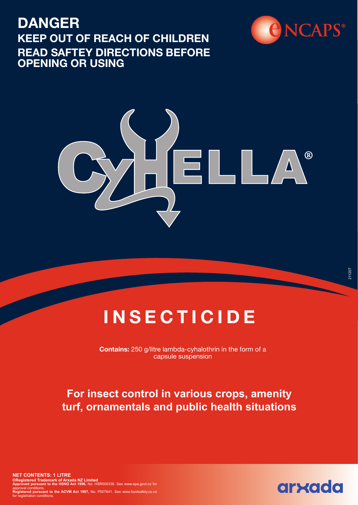## **DANGER KEEP OUT OF REACH OF CHILDREN READ SAFTEY DIRECTIONS BEFORE OPENING OR USING**





# **INSECTICIDE**

**Contains:** 250 g/litre lambda-cyhalothrin in the form of a capsule suspension

### **For insect control in various crops, amenity turf, ornamentals and public health situations**

**NET CONTENTS: 1 LITRE ®Registered Trademark of Arxada NZ Limited Approved pursuant to the HSNO Act 1996,** No: HSR000336. See www.epa.govt.nz for approval conditions.<br>**Registered pursuant to the ACVM Act 1997,** No. P007641. See www.foodsafety.co.nz<br>for registration conditions.